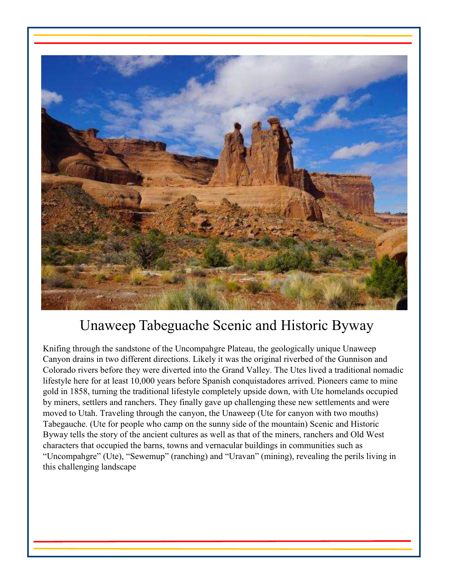

# Unaweep Tabeguache Scenic and Historic Byway

Knifing through the sandstone of the Uncompahgre Plateau, the geologically unique Unaweep Canyon drains in two different directions. Likely it was the original riverbed of the Gunnison and Colorado rivers before they were diverted into the Grand Valley. The Utes lived a traditional nomadic lifestyle here for at least 10,000 years before Spanish conquistadores arrived. Pioneers came to mine gold in 1858, turning the traditional lifestyle completely upside down, with Ute homelands occupied by miners, settlers and ranchers. They finally gave up challenging these new settlements and were moved to Utah. Traveling through the canyon, the Unaweep (Ute for canyon with two mouths) Tabegauche. (Ute for people who camp on the sunny side of the mountain) Scenic and Historic Byway tells the story of the ancient cultures as well as that of the miners, ranchers and Old West characters that occupied the barns, towns and vernacular buildings in communities such as "Uncompahgre" (Ute), "Sewemup" (ranching) and "Uravan" (mining), revealing the perils living in this challenging landscape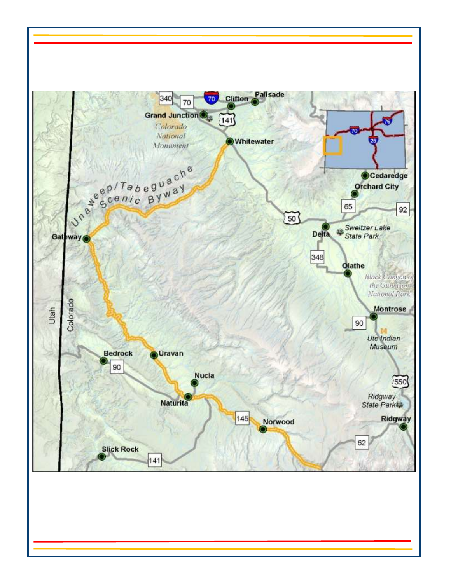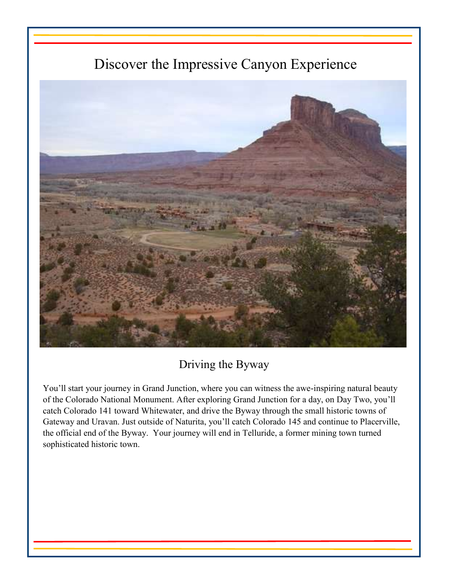# Discover the Impressive Canyon Experience



# Driving the Byway

You'll start your journey in Grand Junction, where you can witness the awe-inspiring natural beauty of the Colorado National Monument. After exploring Grand Junction for a day, on Day Two, you'll catch Colorado 141 toward Whitewater, and drive the Byway through the small historic towns of Gateway and Uravan. Just outside of Naturita, you'll catch Colorado 145 and continue to Placerville, the official end of the Byway. Your journey will end in Telluride, a former mining town turned sophisticated historic town.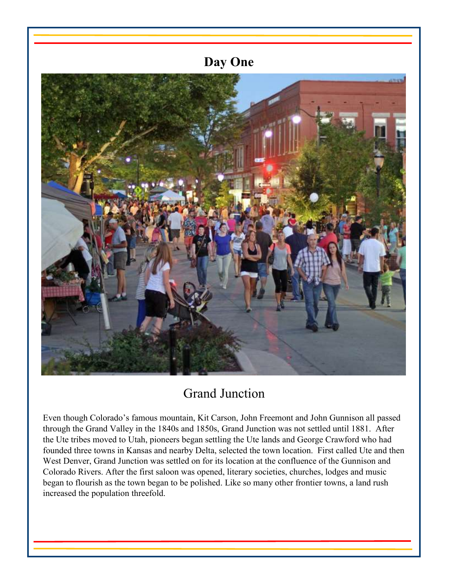# **Day One**

# Grand Junction

Even though Colorado's famous mountain, Kit Carson, John Freemont and John Gunnison all passed through the Grand Valley in the 1840s and 1850s, Grand Junction was not settled until 1881. After the Ute tribes moved to Utah, pioneers began settling the Ute lands and George Crawford who had founded three towns in Kansas and nearby Delta, selected the town location. First called Ute and then West Denver, Grand Junction was settled on for its location at the confluence of the Gunnison and Colorado Rivers. After the first saloon was opened, literary societies, churches, lodges and music began to flourish as the town began to be polished. Like so many other frontier towns, a land rush increased the population threefold.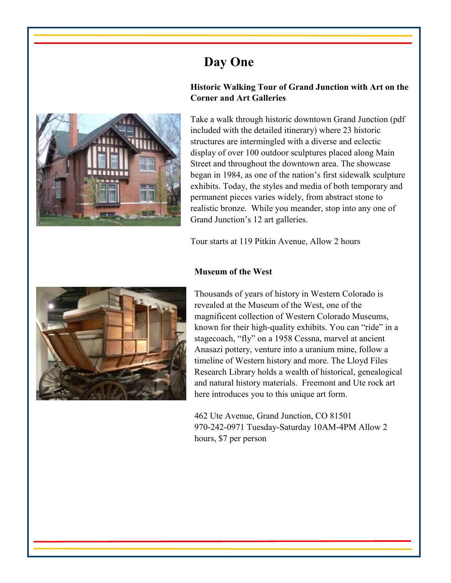# **Day One**

### **Historic Walking Tour of Grand Junction with Art on the Corner and Art Galleries**

Take a walk through historic downtown Grand Junction (pdf included with the detailed itinerary) where 23 historic structures are intermingled with a diverse and eclectic display of over 100 outdoor sculptures placed along Main Street and throughout the downtown area. The showcase began in 1984, as one of the nation's first sidewalk sculpture exhibits. Today, the styles and media of both temporary and permanent pieces varies widely, from abstract stone to realistic bronze. While you meander, stop into any one of Grand Junction's 12 art galleries.

Tour starts at 119 Pitkin Avenue, Allow 2 hours

### **Museum of the West**

Thousands of years of history in Western Colorado is revealed at the Museum of the West, one of the magnificent collection of Western Colorado Museums, known for their high-quality exhibits. You can "ride" in a stagecoach, "fly" on a 1958 Cessna, marvel at ancient Anasazi pottery, venture into a uranium mine, follow a timeline of Western history and more. The Lloyd Files Research Library holds a wealth of historical, genealogical and natural history materials. Freemont and Ute rock art here introduces you to this unique art form.

462 Ute Avenue, Grand Junction, CO 81501 970-242-0971 Tuesday-Saturday 10AM-4PM Allow 2 hours, \$7 per person

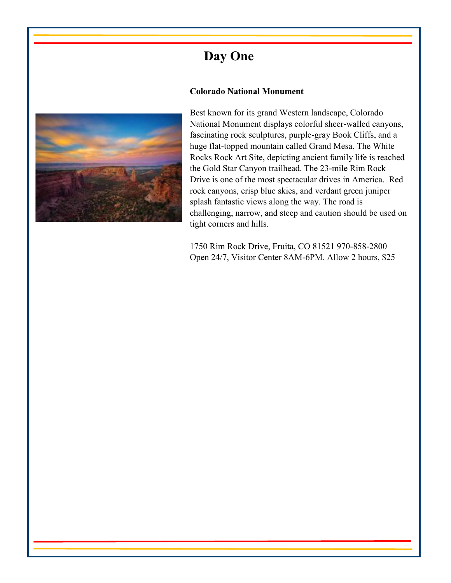# **Day One**

### **Colorado National Monument**



Best known for its grand Western landscape, Colorado National Monument displays colorful sheer-walled canyons, fascinating rock sculptures, purple-gray Book Cliffs, and a huge flat-topped mountain called Grand Mesa. The White Rocks Rock Art Site, depicting ancient family life is reached the Gold Star Canyon trailhead. The 23-mile Rim Rock Drive is one of the most spectacular drives in America. Red rock canyons, crisp blue skies, and verdant green juniper splash fantastic views along the way. The road is challenging, narrow, and steep and caution should be used on tight corners and hills.

1750 Rim Rock Drive, Fruita, CO 81521 970-858-2800 Open 24/7, Visitor Center 8AM-6PM. Allow 2 hours, \$25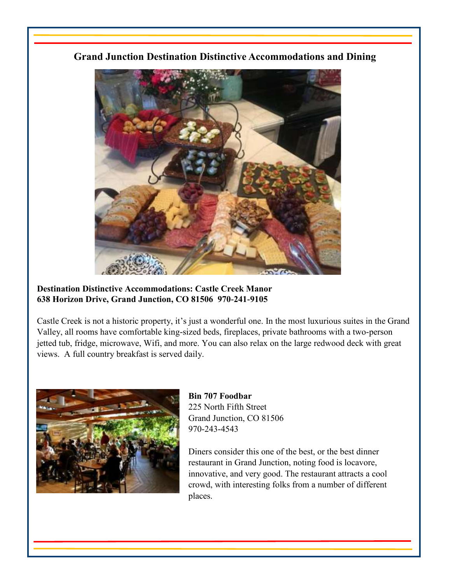### **Grand Junction Destination Distinctive Accommodations and Dining**



### **Destination Distinctive Accommodations: Castle Creek Manor 638 Horizon Drive, Grand Junction, CO 81506 970-241-9105**

Castle Creek is not a historic property, it's just a wonderful one. In the most luxurious suites in the Grand Valley, all rooms have comfortable king-sized beds, fireplaces, private bathrooms with a two-person jetted tub, fridge, microwave, Wifi, and more. You can also relax on the large redwood deck with great views. A full country breakfast is served daily.



**Bin 707 Foodbar**  225 North Fifth Street Grand Junction, CO 81506 970-243-4543

Diners consider this one of the best, or the best dinner restaurant in Grand Junction, noting food is locavore, innovative, and very good. The restaurant attracts a cool crowd, with interesting folks from a number of different places.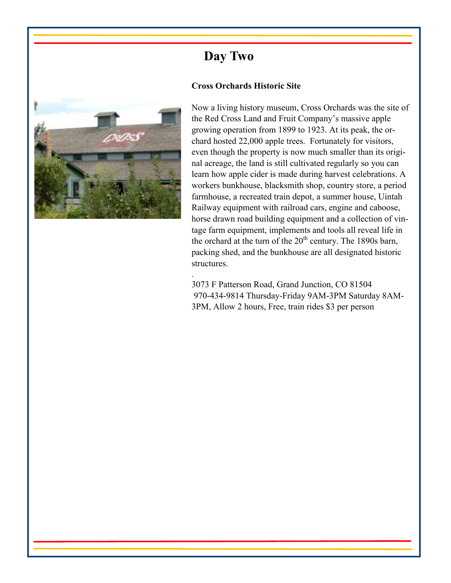# **Day Two**

.

### **Cross Orchards Historic Site**



Now a living history museum, Cross Orchards was the site of the Red Cross Land and Fruit Company's massive apple growing operation from 1899 to 1923. At its peak, the orchard hosted 22,000 apple trees. Fortunately for visitors, even though the property is now much smaller than its original acreage, the land is still cultivated regularly so you can learn how apple cider is made during harvest celebrations. A workers bunkhouse, blacksmith shop, country store, a period farmhouse, a recreated train depot, a summer house, Uintah Railway equipment with railroad cars, engine and caboose, horse drawn road building equipment and a collection of vintage farm equipment, implements and tools all reveal life in the orchard at the turn of the  $20<sup>th</sup>$  century. The 1890s barn, packing shed, and the bunkhouse are all designated historic structures.

3073 F Patterson Road, Grand Junction, CO 81504 970-434-9814 Thursday-Friday 9AM-3PM Saturday 8AM-3PM, Allow 2 hours, Free, train rides \$3 per person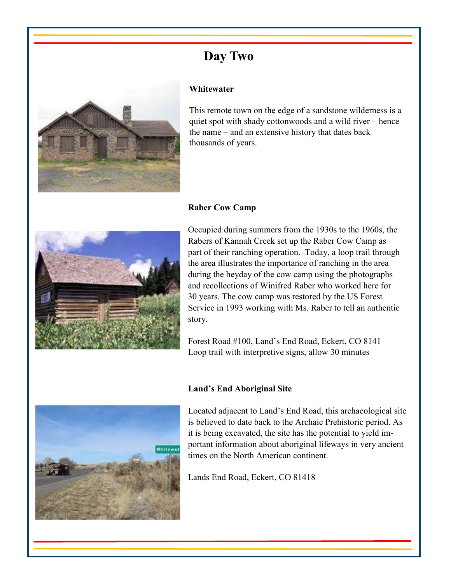

# **Day Two**

### **Whitewater**

This remote town on the edge of a sandstone wilderness is a quiet spot with shady cottonwoods and a wild river – hence the name – and an extensive history that dates back thousands of years.

### **Raber Cow Camp**



Occupied during summers from the 1930s to the 1960s, the Rabers of Kannah Creek set up the Raber Cow Camp as part of their ranching operation. Today, a loop trail through the area illustrates the importance of ranching in the area during the heyday of the cow camp using the photographs and recollections of Winifred Raber who worked here for 30 years. The cow camp was restored by the US Forest Service in 1993 working with Ms. Raber to tell an authentic story.

Forest Road #100, Land's End Road, Eckert, CO 8141 Loop trail with interpretive signs, allow 30 minutes

## **Land's End Aboriginal Site**

Located adjacent to Land's End Road, this archaeological site is believed to date back to the Archaic Prehistoric period. As it is being excavated, the site has the potential to yield important information about aboriginal lifeways in very ancient times on the North American continent.

Lands End Road, Eckert, CO 81418

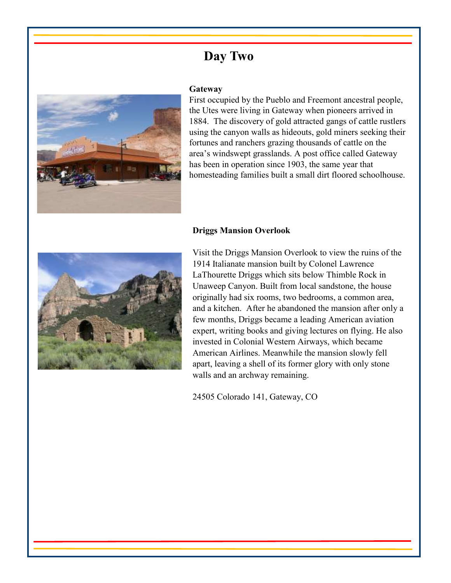# **Day Two**



### **Gateway**

First occupied by the Pueblo and Freemont ancestral people, the Utes were living in Gateway when pioneers arrived in 1884. The discovery of gold attracted gangs of cattle rustlers using the canyon walls as hideouts, gold miners seeking their fortunes and ranchers grazing thousands of cattle on the area's windswept grasslands. A post office called Gateway has been in operation since 1903, the same year that homesteading families built a small dirt floored schoolhouse.

### **Driggs Mansion Overlook**



Visit the Driggs Mansion Overlook to view the ruins of the 1914 Italianate mansion built by Colonel Lawrence LaThourette Driggs which sits below Thimble Rock in Unaweep Canyon. Built from local sandstone, the house originally had six rooms, two bedrooms, a common area, and a kitchen. After he abandoned the mansion after only a few months, Driggs became a leading American aviation expert, writing books and giving lectures on flying. He also invested in Colonial Western Airways, which became American Airlines. Meanwhile the mansion slowly fell apart, leaving a shell of its former glory with only stone walls and an archway remaining.

24505 Colorado 141, Gateway, CO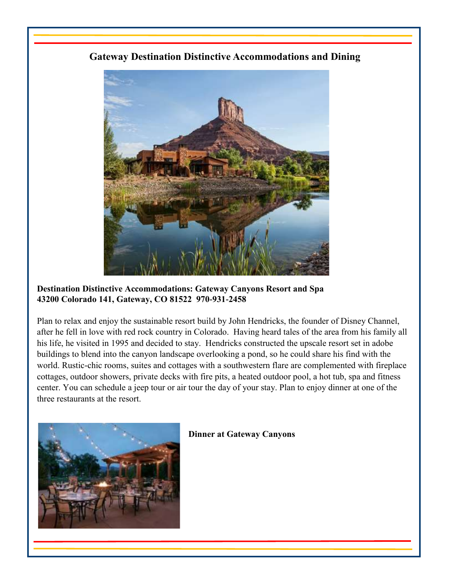### **Gateway Destination Distinctive Accommodations and Dining**



### **Destination Distinctive Accommodations: Gateway Canyons Resort and Spa 43200 Colorado 141, Gateway, CO 81522 970-931-2458**

Plan to relax and enjoy the sustainable resort build by John Hendricks, the founder of Disney Channel, after he fell in love with red rock country in Colorado. Having heard tales of the area from his family all his life, he visited in 1995 and decided to stay. Hendricks constructed the upscale resort set in adobe buildings to blend into the canyon landscape overlooking a pond, so he could share his find with the world. Rustic-chic rooms, suites and cottages with a southwestern flare are complemented with fireplace cottages, outdoor showers, private decks with fire pits, a heated outdoor pool, a hot tub, spa and fitness center. You can schedule a jeep tour or air tour the day of your stay. Plan to enjoy dinner at one of the three restaurants at the resort.



### **Dinner at Gateway Canyons**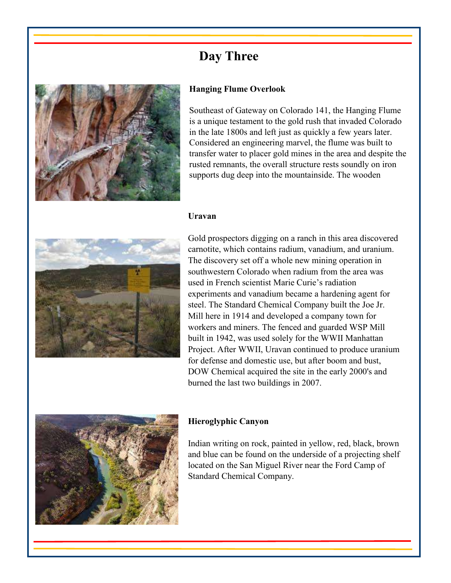

### **Hanging Flume Overlook**

Southeast of Gateway on Colorado 141, the Hanging Flume is a unique testament to the gold rush that invaded Colorado in the late 1800s and left just as quickly a few years later. Considered an engineering marvel, the flume was built to transfer water to placer gold mines in the area and despite the rusted remnants, the overall structure rests soundly on iron supports dug deep into the mountainside. The wooden

### **Uravan**



Gold prospectors digging on a ranch in this area discovered carnotite, which contains radium, vanadium, and uranium. The discovery set off a whole new mining operation in southwestern Colorado when radium from the area was used in French scientist Marie Curie's radiation experiments and vanadium became a hardening agent for steel. The Standard Chemical Company built the Joe Jr. Mill here in 1914 and developed a company town for workers and miners. The fenced and guarded WSP Mill built in 1942, was used solely for the WWII Manhattan Project. After WWII, Uravan continued to produce uranium for defense and domestic use, but after boom and bust, DOW Chemical acquired the site in the early 2000's and burned the last two buildings in 2007.



### **Hieroglyphic Canyon**

Indian writing on rock, painted in yellow, red, black, brown and blue can be found on the underside of a projecting shelf located on the San Miguel River near the Ford Camp of Standard Chemical Company.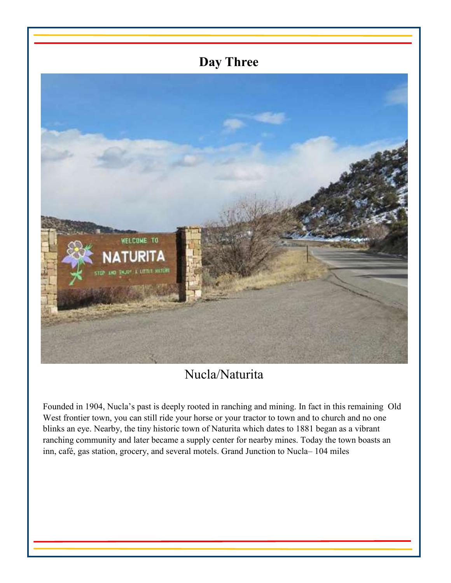

# Nucla/Naturita

Founded in 1904, Nucla's past is deeply rooted in ranching and mining. In fact in this remaining Old West frontier town, you can still ride your horse or your tractor to town and to church and no one blinks an eye. Nearby, the tiny historic town of Naturita which dates to 1881 began as a vibrant ranching community and later became a supply center for nearby mines. Today the town boasts an inn, café, gas station, grocery, and several motels. Grand Junction to Nucla– 104 miles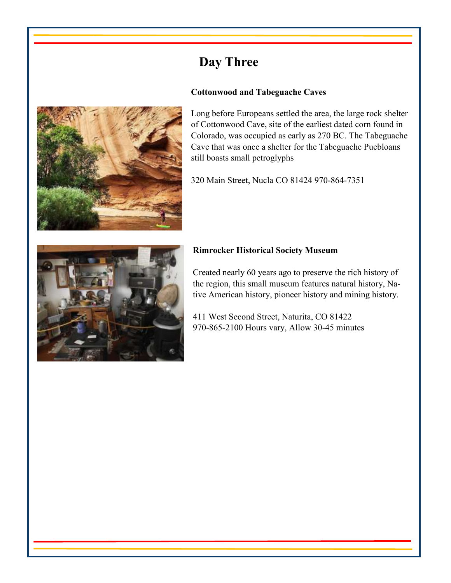### **Cottonwood and Tabeguache Caves**



Long before Europeans settled the area, the large rock shelter of Cottonwood Cave, site of the earliest dated corn found in Colorado, was occupied as early as 270 BC. The Tabeguache Cave that was once a shelter for the Tabeguache Puebloans still boasts small petroglyphs

320 Main Street, Nucla CO 81424 970-864-7351



### **Rimrocker Historical Society Museum**

Created nearly 60 years ago to preserve the rich history of the region, this small museum features natural history, Native American history, pioneer history and mining history.

411 West Second Street, Naturita, CO 81422 970-865-2100 Hours vary, Allow 30-45 minutes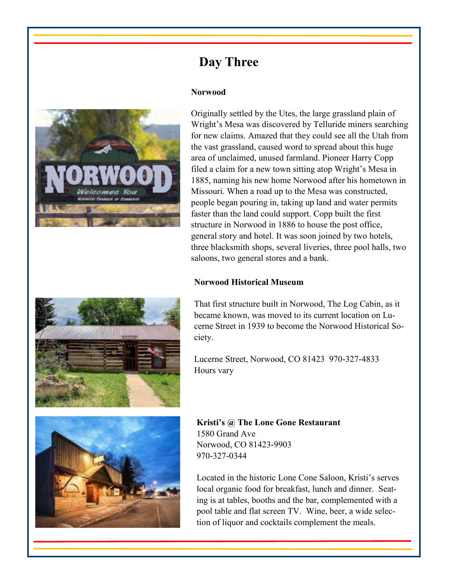

### **Norwood**

Originally settled by the Utes, the large grassland plain of Wright's Mesa was discovered by Telluride miners searching for new claims. Amazed that they could see all the Utah from the vast grassland, caused word to spread about this huge area of unclaimed, unused farmland. Pioneer Harry Copp filed a claim for a new town sitting atop Wright's Mesa in 1885, naming his new home Norwood after his hometown in Missouri. When a road up to the Mesa was constructed, people began pouring in, taking up land and water permits faster than the land could support. Copp built the first structure in Norwood in 1886 to house the post office, general story and hotel. It was soon joined by two hotels, three blacksmith shops, several liveries, three pool halls, two saloons, two general stores and a bank.

### **Norwood Historical Museum**



That first structure built in Norwood, The Log Cabin, as it became known, was moved to its current location on Lucerne Street in 1939 to become the Norwood Historical Society.

Lucerne Street, Norwood, CO 81423 970-327-4833 Hours vary



**Kristi's @ The Lone Gone Restaurant** 1580 Grand Ave Norwood, CO 81423-9903 970-327-0344

Located in the historic Lone Cone Saloon, Kristi's serves local organic food for breakfast, lunch and dinner. Seating is at tables, booths and the bar, complemented with a pool table and flat screen TV. Wine, beer, a wide selection of liquor and cocktails complement the meals.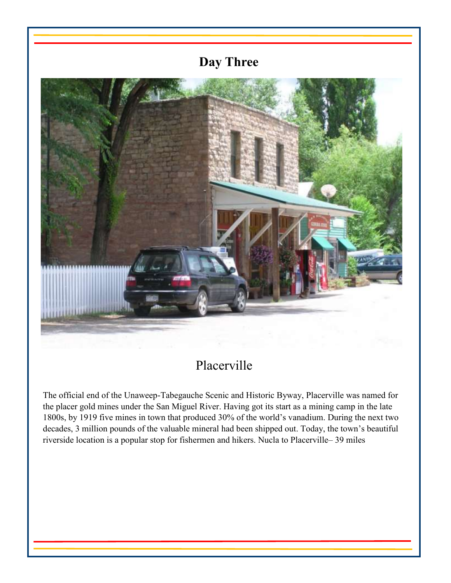

# Placerville

The official end of the Unaweep-Tabegauche Scenic and Historic Byway, Placerville was named for the placer gold mines under the San Miguel River. Having got its start as a mining camp in the late 1800s, by 1919 five mines in town that produced 30% of the world's vanadium. During the next two decades, 3 million pounds of the valuable mineral had been shipped out. Today, the town's beautiful riverside location is a popular stop for fishermen and hikers. Nucla to Placerville– 39 miles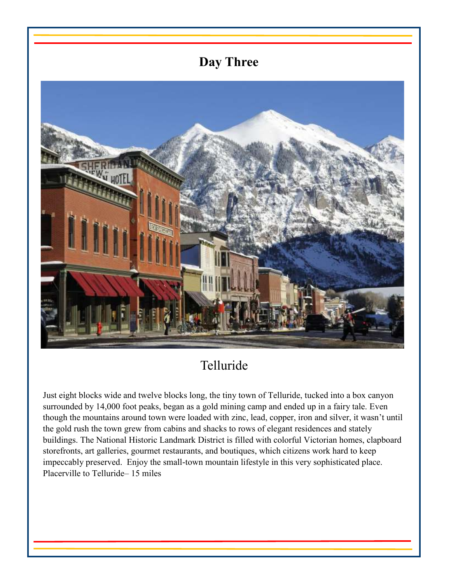

# Telluride

Just eight blocks wide and twelve blocks long, the tiny town of Telluride, tucked into a box canyon surrounded by 14,000 foot peaks, began as a gold mining camp and ended up in a fairy tale. Even though the mountains around town were loaded with zinc, lead, copper, iron and silver, it wasn't until the gold rush the town grew from cabins and shacks to rows of elegant residences and stately buildings. The National Historic Landmark District is filled with colorful Victorian homes, clapboard storefronts, art galleries, gourmet restaurants, and boutiques, which citizens work hard to keep impeccably preserved. Enjoy the small-town mountain lifestyle in this very sophisticated place. Placerville to Telluride– 15 miles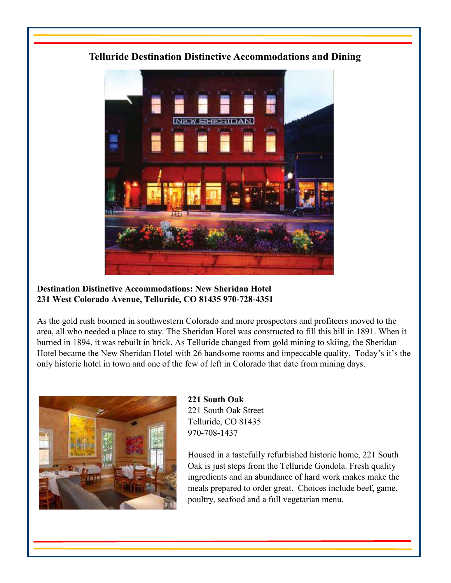### **Telluride Destination Distinctive Accommodations and Dining**



### **Destination Distinctive Accommodations: New Sheridan Hotel 231 West Colorado Avenue, Telluride, CO 81435 970-728-4351**

As the gold rush boomed in southwestern Colorado and more prospectors and profiteers moved to the area, all who needed a place to stay. The Sheridan Hotel was constructed to fill this bill in 1891. When it burned in 1894, it was rebuilt in brick. As Telluride changed from gold mining to skiing, the Sheridan Hotel became the New Sheridan Hotel with 26 handsome rooms and impeccable quality. Today's it's the only historic hotel in town and one of the few of left in Colorado that date from mining days.



**221 South Oak**  221 South Oak Street Telluride, CO 81435 970-708-1437

Housed in a tastefully refurbished historic home, 221 South Oak is just steps from the Telluride Gondola. Fresh quality ingredients and an abundance of hard work makes make the meals prepared to order great. Choices include beef, game, poultry, seafood and a full vegetarian menu.